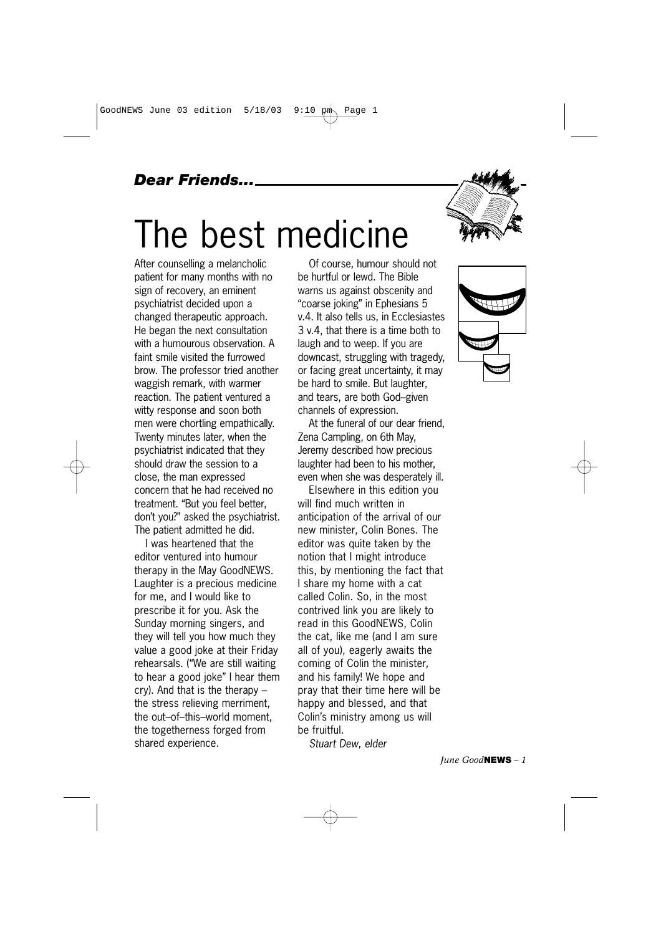## *Dear Friends...*

# The best medicine

After counselling a melancholic patient for many months with no sign of recovery, an eminent psychiatrist decided upon a changed therapeutic approach. He began the next consultation with a humourous observation. A faint smile visited the furrowed brow. The professor tried another waggish remark, with warmer reaction. The patient ventured a witty response and soon both men were chortling empathically. Twenty minutes later, when the psychiatrist indicated that they should draw the session to a close, the man expressed concern that he had received no treatment. "But you feel better, don't you?" asked the psychiatrist. The patient admitted he did.

I was heartened that the editor ventured into humour therapy in the May GoodNEWS. Laughter is a precious medicine for me, and I would like to prescribe it for you. Ask the Sunday morning singers, and they will tell you how much they value a good joke at their Friday rehearsals. ("We are still waiting to hear a good joke" I hear them cry). And that is the therapy – the stress relieving merriment, the out–of–this–world moment, the togetherness forged from shared experience.

Of course, humour should not be hurtful or lewd. The Bible warns us against obscenity and "coarse joking" in Ephesians 5 v.4. It also tells us, in Ecclesiastes 3 v.4, that there is a time both to laugh and to weep. If you are downcast, struggling with tragedy, or facing great uncertainty, it may be hard to smile. But laughter, and tears, are both God–given channels of expression.

At the funeral of our dear friend, Zena Campling, on 6th May, Jeremy described how precious laughter had been to his mother, even when she was desperately ill.

Elsewhere in this edition you will find much written in anticipation of the arrival of our new minister, Colin Bones. The editor was quite taken by the notion that I might introduce this, by mentioning the fact that I share my home with a cat called Colin. So, in the most contrived link you are likely to read in this GoodNEWS, Colin the cat, like me (and I am sure all of you), eagerly awaits the coming of Colin the minister, and his family! We hope and pray that their time here will be happy and blessed, and that Colin's ministry among us will be fruitful.

*Stuart Dew, elder*

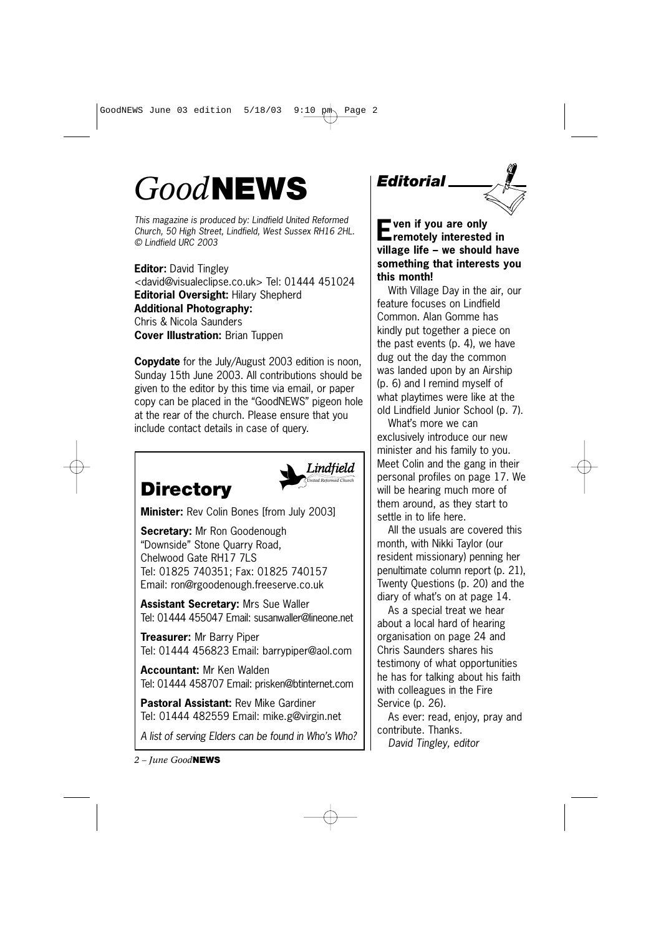# *Good***NEWS**

*This magazine is produced by: Lindfield United Reformed Church, 50 High Street, Lindfield, West Sussex RH16 2HL. © Lindfield URC 2003*

**Editor:** David Tingley <david@visualeclipse.co.uk> Tel: 01444 451024 **Editorial Oversight:** Hilary Shepherd **Additional Photography:** Chris & Nicola Saunders **Cover Illustration:** Brian Tuppen

**Copydate** for the July/August 2003 edition is noon, Sunday 15th June 2003. All contributions should be given to the editor by this time via email, or paper copy can be placed in the "GoodNEWS" pigeon hole at the rear of the church. Please ensure that you include contact details in case of query.

# **Directory**



**Minister:** Rev Colin Bones [from July 2003]

**Secretary:** Mr Ron Goodenough "Downside" Stone Quarry Road, Chelwood Gate RH17 7LS Tel: 01825 740351; Fax: 01825 740157 Email: ron@rgoodenough.freeserve.co.uk

**Assistant Secretary:** Mrs Sue Waller Tel: 01444 455047 Email: susanwaller@lineone.net

**Treasurer:** Mr Barry Piper Tel: 01444 456823 Email: barrypiper@aol.com

**Accountant:** Mr Ken Walden Tel: 01444 458707 Email: prisken@btinternet.com

**Pastoral Assistant:** Rev Mike Gardiner Tel: 01444 482559 Email: mike.g@virgin.net

*A list of serving Elders can be found in Who's Who?*

*2 – June Good***NEWS**

# *Editorial*

**Even if you are only remotely interested in village life – we should have something that interests you this month!**

With Village Day in the air, our feature focuses on Lindfield Common. Alan Gomme has kindly put together a piece on the past events (p. 4), we have dug out the day the common was landed upon by an Airship (p. 6) and I remind myself of what playtimes were like at the old Lindfield Junior School (p. 7).

What's more we can exclusively introduce our new minister and his family to you. Meet Colin and the gang in their personal profiles on page 17. We will be hearing much more of them around, as they start to settle in to life here.

All the usuals are covered this month, with Nikki Taylor (our resident missionary) penning her penultimate column report (p. 21), Twenty Questions (p. 20) and the diary of what's on at page 14.

As a special treat we hear about a local hard of hearing organisation on page 24 and Chris Saunders shares his testimony of what opportunities he has for talking about his faith with colleagues in the Fire Service (p. 26).

As ever: read, enjoy, pray and contribute. Thanks. *David Tingley, editor*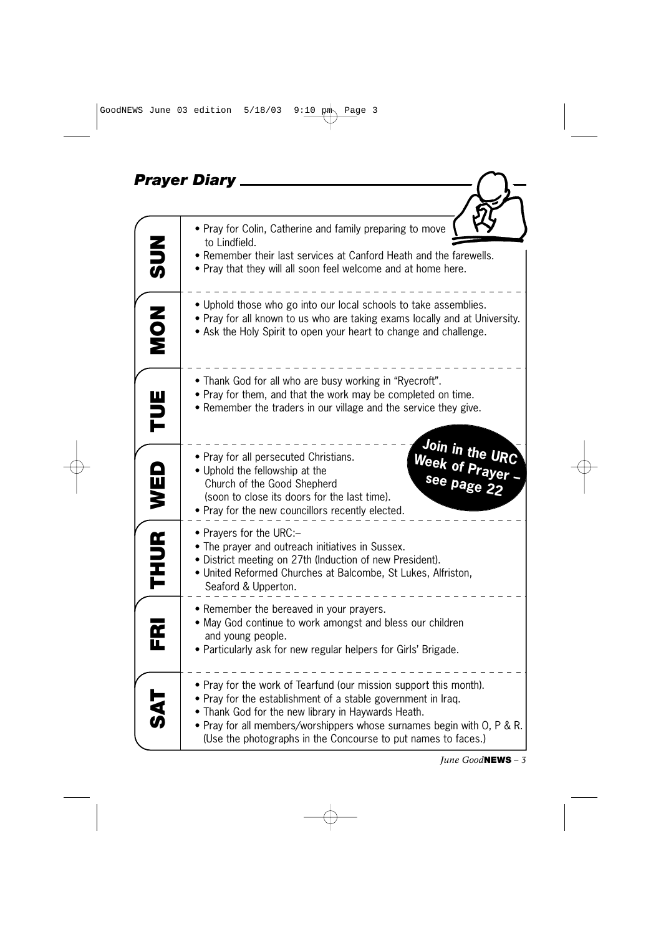| <b>Prayer Diary</b> |                                                                                                                                                                                                                                                                                                                                    |  |  |  |
|---------------------|------------------------------------------------------------------------------------------------------------------------------------------------------------------------------------------------------------------------------------------------------------------------------------------------------------------------------------|--|--|--|
|                     |                                                                                                                                                                                                                                                                                                                                    |  |  |  |
| この                  | . Pray for Colin, Catherine and family preparing to move<br>to Lindfield.<br>• Remember their last services at Canford Heath and the farewells.<br>• Pray that they will all soon feel welcome and at home here.                                                                                                                   |  |  |  |
| NON<br>Non          | • Uphold those who go into our local schools to take assemblies.<br>• Pray for all known to us who are taking exams locally and at University.<br>. Ask the Holy Spirit to open your heart to change and challenge.                                                                                                                |  |  |  |
| <b>HUE</b>          | • Thank God for all who are busy working in "Ryecroft".<br>• Pray for them, and that the work may be completed on time.<br>• Remember the traders in our village and the service they give.                                                                                                                                        |  |  |  |
| WED                 | Join in the URC<br>Week of Prayer<br>see page 22<br>• Pray for all persecuted Christians.<br>• Uphold the fellowship at the<br>Church of the Good Shepherd<br>(soon to close its doors for the last time).<br>• Pray for the new councillors recently elected.                                                                     |  |  |  |
| THUR <sup>1</sup>   | • Prayers for the URC:-<br>• The prayer and outreach initiatives in Sussex.<br>· District meeting on 27th (Induction of new President).<br>• United Reformed Churches at Balcombe, St Lukes, Alfriston,<br>Seaford & Upperton.                                                                                                     |  |  |  |
| FRI                 | • Remember the bereaved in your prayers.<br>. May God continue to work amongst and bless our children<br>and young people.<br>• Particularly ask for new regular helpers for Girls' Brigade.                                                                                                                                       |  |  |  |
| <b>万公</b>           | • Pray for the work of Tearfund (our mission support this month).<br>• Pray for the establishment of a stable government in Iraq.<br>• Thank God for the new library in Haywards Heath.<br>• Pray for all members/worshippers whose surnames begin with O, P & R.<br>(Use the photographs in the Concourse to put names to faces.) |  |  |  |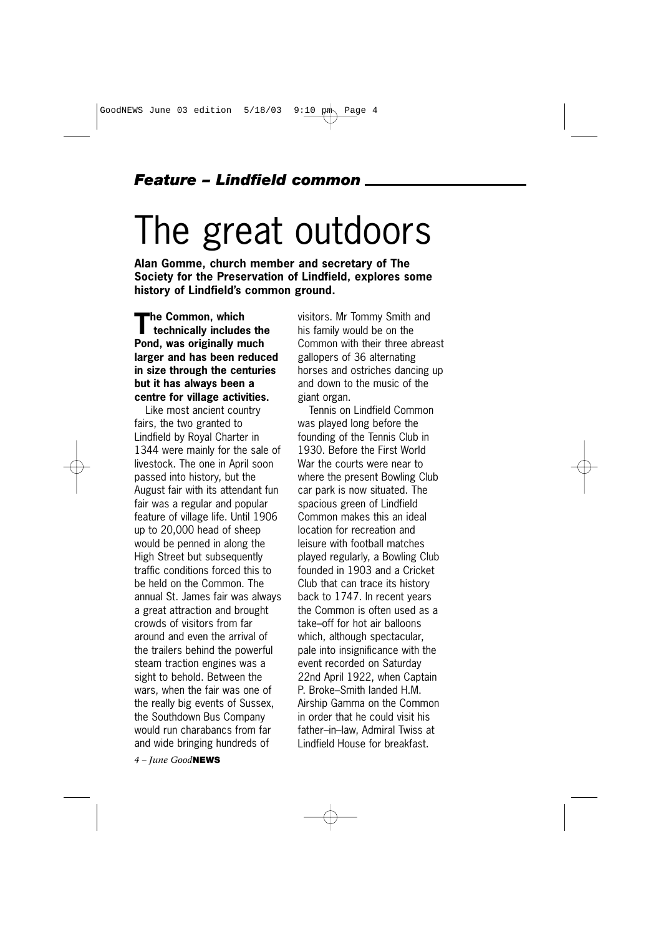#### *Feature – Lindfield common*

# The great outdoors

**Alan Gomme, church member and secretary of The Society for the Preservation of Lindfield, explores some history of Lindfield's common ground.**

**The Common, which technically includes the Pond, was originally much larger and has been reduced in size through the centuries but it has always been a centre for village activities.**

Like most ancient country fairs, the two granted to Lindfield by Royal Charter in 1344 were mainly for the sale of livestock. The one in April soon passed into history, but the August fair with its attendant fun fair was a regular and popular feature of village life. Until 1906 up to 20,000 head of sheep would be penned in along the High Street but subsequently traffic conditions forced this to be held on the Common. The annual St. James fair was always a great attraction and brought crowds of visitors from far around and even the arrival of the trailers behind the powerful steam traction engines was a sight to behold. Between the wars, when the fair was one of the really big events of Sussex, the Southdown Bus Company would run charabancs from far and wide bringing hundreds of

*4 – June Good***NEWS**

visitors. Mr Tommy Smith and his family would be on the Common with their three abreast gallopers of 36 alternating horses and ostriches dancing up and down to the music of the giant organ.

Tennis on Lindfield Common was played long before the founding of the Tennis Club in 1930. Before the First World War the courts were near to where the present Bowling Club car park is now situated. The spacious green of Lindfield Common makes this an ideal location for recreation and leisure with football matches played regularly, a Bowling Club founded in 1903 and a Cricket Club that can trace its history back to 1747. In recent years the Common is often used as a take–off for hot air balloons which, although spectacular, pale into insignificance with the event recorded on Saturday 22nd April 1922, when Captain P. Broke–Smith landed H.M. Airship Gamma on the Common in order that he could visit his father–in–law, Admiral Twiss at Lindfield House for breakfast.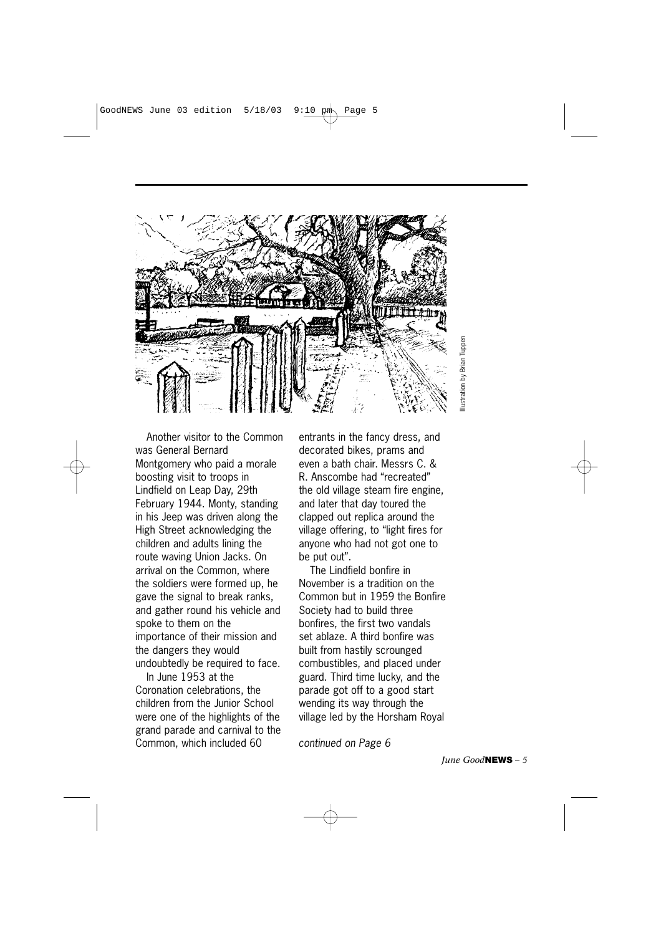

Another visitor to the Common was General Bernard Montgomery who paid a morale boosting visit to troops in Lindfield on Leap Day, 29th February 1944. Monty, standing in his Jeep was driven along the High Street acknowledging the children and adults lining the route waving Union Jacks. On arrival on the Common, where the soldiers were formed up, he gave the signal to break ranks, and gather round his vehicle and spoke to them on the importance of their mission and the dangers they would undoubtedly be required to face.

In June 1953 at the Coronation celebrations, the children from the Junior School were one of the highlights of the grand parade and carnival to the Common, which included 60

entrants in the fancy dress, and decorated bikes, prams and even a bath chair. Messrs C. & R. Anscombe had "recreated" the old village steam fire engine, and later that day toured the clapped out replica around the village offering, to "light fires for anyone who had not got one to be put out".

The Lindfield bonfire in November is a tradition on the Common but in 1959 the Bonfire Society had to build three bonfires, the first two vandals set ablaze. A third bonfire was built from hastily scrounged combustibles, and placed under guard. Third time lucky, and the parade got off to a good start wending its way through the village led by the Horsham Royal

*continued on Page 6*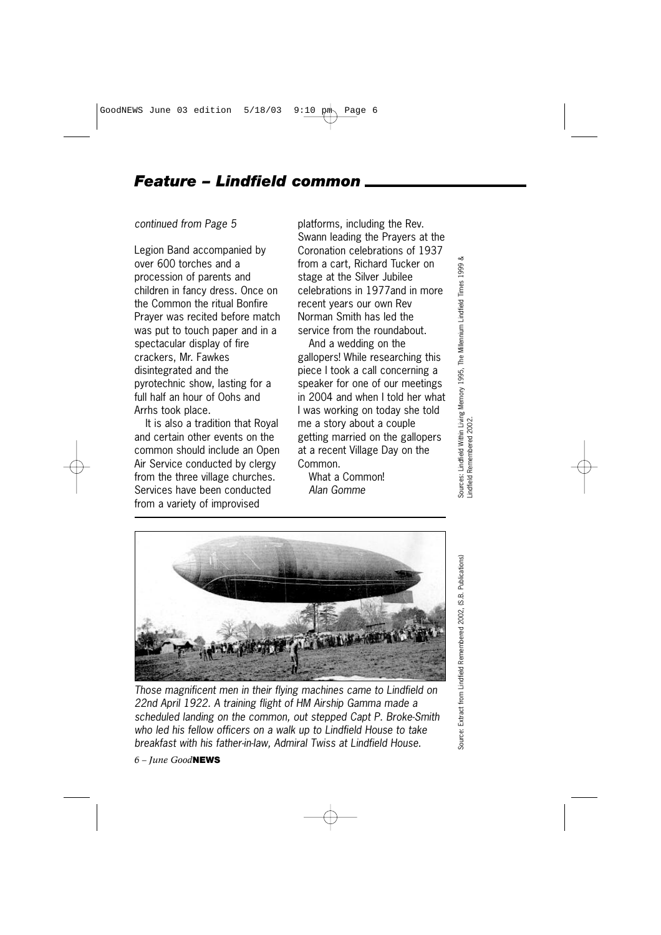#### *Feature – Lindfield common*

*continued from Page 5*

Legion Band accompanied by over 600 torches and a procession of parents and children in fancy dress. Once on the Common the ritual Bonfire Prayer was recited before match was put to touch paper and in a spectacular display of fire crackers, Mr. Fawkes disintegrated and the pyrotechnic show, lasting for a full half an hour of Oohs and Arrhs took place.

It is also a tradition that Royal and certain other events on the common should include an Open Air Service conducted by clergy from the three village churches. Services have been conducted from a variety of improvised

platforms, including the Rev. Swann leading the Prayers at the Coronation celebrations of 1937 from a cart, Richard Tucker on stage at the Silver Jubilee celebrations in 1977and in more recent years our own Rev Norman Smith has led the service from the roundabout.

And a wedding on the gallopers! While researching this piece I took a call concerning a speaker for one of our meetings in 2004 and when I told her what I was working on today she told me a story about a couple getting married on the gallopers at a recent Village Day on the Common.

What a Common! *Alan Gomme*



*Those magnificent men in their flying machines came to Lindfield on 22nd April 1922. A training flight of HM Airship Gamma made a scheduled landing on the common, out stepped Capt P. Broke-Smith who led his fellow officers on a walk up to Lindfield House to take breakfast with his father-in-law, Admiral Twiss at Lindfield House.*

*6 – June Good***NEWS**

Source: Extract from Lindfield Remembered 2002, (S.B. Publications) Source: Extract from Lindfield Remembered 2002, (S.B. Publications)

Sources: Lindfield Within Living Memory 1995, The Millennium Lindfield Times 1999 &

Sources: Lindfield Within Living Memory 1995, The Millennium Lindfield Times i<br>Lindfield Remembered 2002.

1999

Lindfield Remembered 2002.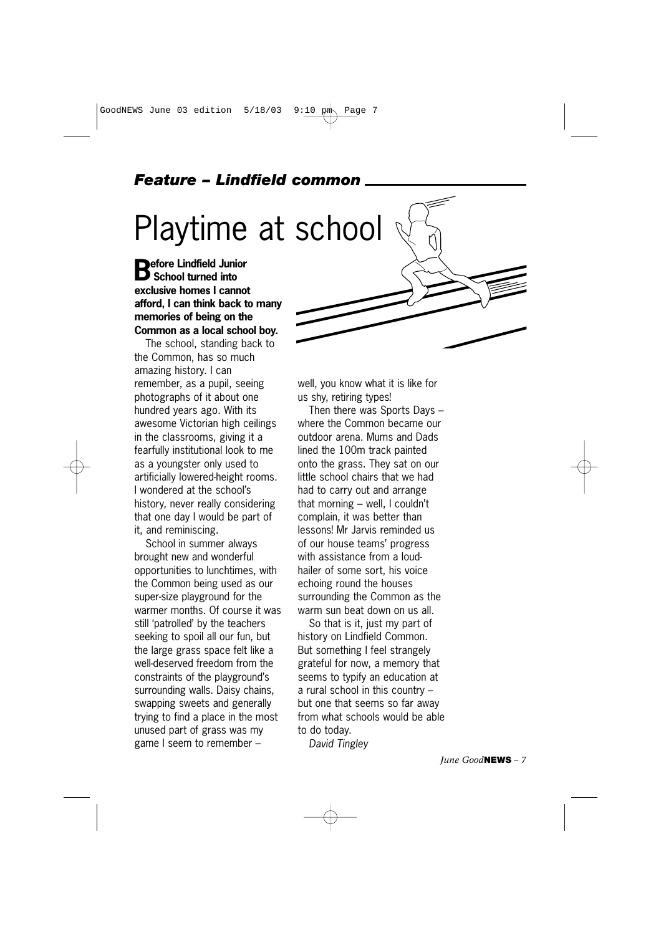### *Feature – Lindfield common*

# Playtime at school

**Before Lindfield Junior School turned into exclusive homes I cannot afford, I can think back to many memories of being on the Common as a local school boy.**

The school, standing back to the Common, has so much amazing history. I can remember, as a pupil, seeing photographs of it about one hundred years ago. With its awesome Victorian high ceilings in the classrooms, giving it a fearfully institutional look to me as a youngster only used to artificially lowered-height rooms. I wondered at the school's history, never really considering that one day I would be part of it, and reminiscing.

School in summer always brought new and wonderful opportunities to lunchtimes, with the Common being used as our super-size playground for the warmer months. Of course it was still 'patrolled' by the teachers seeking to spoil all our fun, but the large grass space felt like a well-deserved freedom from the constraints of the playground's surrounding walls. Daisy chains, swapping sweets and generally trying to find a place in the most unused part of grass was my game I seem to remember –

well, you know what it is like for us shy, retiring types!

Then there was Sports Days – where the Common became our outdoor arena. Mums and Dads lined the 100m track painted onto the grass. They sat on our little school chairs that we had had to carry out and arrange that morning – well, I couldn't complain, it was better than lessons! Mr Jarvis reminded us of our house teams' progress with assistance from a loudhailer of some sort, his voice echoing round the houses surrounding the Common as the warm sun beat down on us all.

So that is it, just my part of history on Lindfield Common. But something I feel strangely grateful for now, a memory that seems to typify an education at a rural school in this country – but one that seems so far away from what schools would be able to do today.

*David Tingley*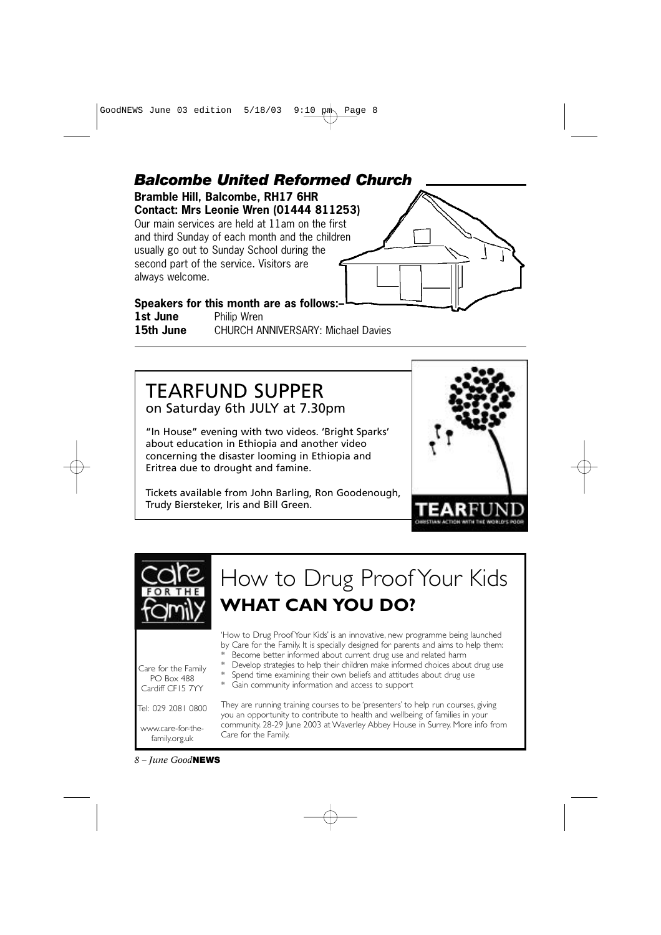GoodNEWS June 03 edition  $5/18/03$  9:10 pm Page 8



## TEARFUND SUPPER on Saturday 6th JULY at 7.30pm

"In House" evening with two videos. 'Bright Sparks' about education in Ethiopia and another video concerning the disaster looming in Ethiopia and Eritrea due to drought and famine.

Tickets available from John Barling, Ron Goodenough, Trudy Biersteker, Iris and Bill Green.





*8 – June Good***NEWS**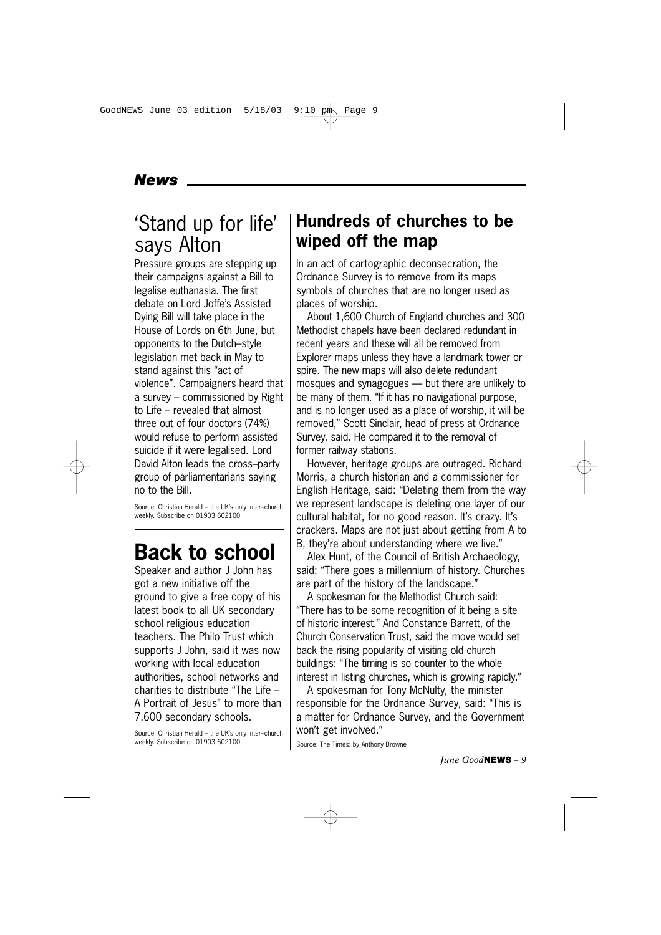### *News*

# 'Stand up for life' says Alton

Pressure groups are stepping up their campaigns against a Bill to legalise euthanasia. The first debate on Lord Joffe's Assisted Dying Bill will take place in the House of Lords on 6th June, but opponents to the Dutch–style legislation met back in May to stand against this "act of violence". Campaigners heard that a survey – commissioned by Right to Life – revealed that almost three out of four doctors (74%) would refuse to perform assisted suicide if it were legalised. Lord David Alton leads the cross–party group of parliamentarians saying no to the Bill.

Source: Christian Herald – the UK's only inter–church weekly. Subscribe on 01903 602100

# **Back to school**

Speaker and author J John has got a new initiative off the ground to give a free copy of his latest book to all UK secondary school religious education teachers. The Philo Trust which supports J John, said it was now working with local education authorities, school networks and charities to distribute "The Life – A Portrait of Jesus" to more than 7,600 secondary schools.

Source: Christian Herald – the UK's only inter–church weekly. Subscribe on 01903 602100

# **Hundreds of churches to be wiped off the map**

In an act of cartographic deconsecration, the Ordnance Survey is to remove from its maps symbols of churches that are no longer used as places of worship.

About 1,600 Church of England churches and 300 Methodist chapels have been declared redundant in recent years and these will all be removed from Explorer maps unless they have a landmark tower or spire. The new maps will also delete redundant mosques and synagogues — but there are unlikely to be many of them. "If it has no navigational purpose, and is no longer used as a place of worship, it will be removed," Scott Sinclair, head of press at Ordnance Survey, said. He compared it to the removal of former railway stations.

However, heritage groups are outraged. Richard Morris, a church historian and a commissioner for English Heritage, said: "Deleting them from the way we represent landscape is deleting one layer of our cultural habitat, for no good reason. It's crazy. It's crackers. Maps are not just about getting from A to B, they're about understanding where we live."

Alex Hunt, of the Council of British Archaeology, said: "There goes a millennium of history. Churches are part of the history of the landscape."

A spokesman for the Methodist Church said: "There has to be some recognition of it being a site of historic interest." And Constance Barrett, of the Church Conservation Trust, said the move would set back the rising popularity of visiting old church buildings: "The timing is so counter to the whole interest in listing churches, which is growing rapidly."

A spokesman for Tony McNulty, the minister responsible for the Ordnance Survey, said: "This is a matter for Ordnance Survey, and the Government won't get involved."

Source: The Times: by Anthony Browne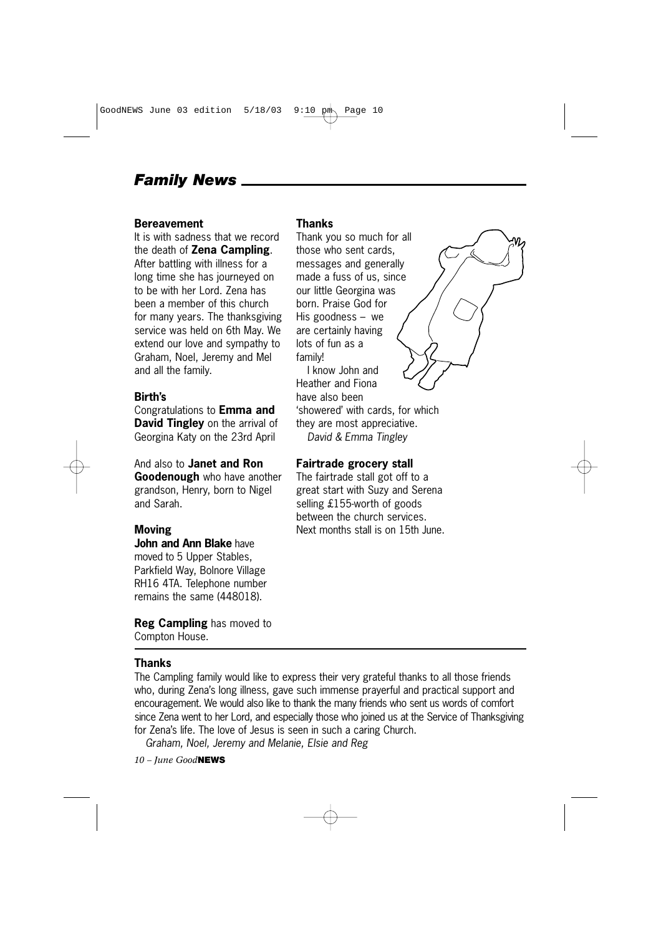### *Family News*

#### **Bereavement**

It is with sadness that we record the death of **Zena Campling**. After battling with illness for a long time she has journeyed on to be with her Lord. Zena has been a member of this church for many years. The thanksgiving service was held on 6th May. We extend our love and sympathy to Graham, Noel, Jeremy and Mel and all the family.

#### **Birth's**

Congratulations to **Emma and David Tingley** on the arrival of Georgina Katy on the 23rd April

#### And also to **Janet and Ron**

**Goodenough** who have another grandson, Henry, born to Nigel and Sarah.

#### **Moving**

**John and Ann Blake** have moved to 5 Upper Stables, Parkfield Way, Bolnore Village RH16 4TA. Telephone number remains the same (448018).

**Reg Campling** has moved to Compton House.

#### **Thanks**

The Campling family would like to express their very grateful thanks to all those friends who, during Zena's long illness, gave such immense prayerful and practical support and encouragement. We would also like to thank the many friends who sent us words of comfort since Zena went to her Lord, and especially those who joined us at the Service of Thanksgiving for Zena's life. The love of Jesus is seen in such a caring Church.

*Graham, Noel, Jeremy and Melanie, Elsie and Reg*

*10 – June Good***NEWS**

#### **Thanks**

Thank you so much for all those who sent cards, messages and generally made a fuss of us, since our little Georgina was born. Praise God for His goodness – we are certainly having lots of fun as a family!

I know John and Heather and Fiona have also been 'showered' with cards, for which they are most appreciative. *David & Emma Tingley*

#### **Fairtrade grocery stall**

The fairtrade stall got off to a great start with Suzy and Serena selling £155-worth of goods between the church services. Next months stall is on 15th June.

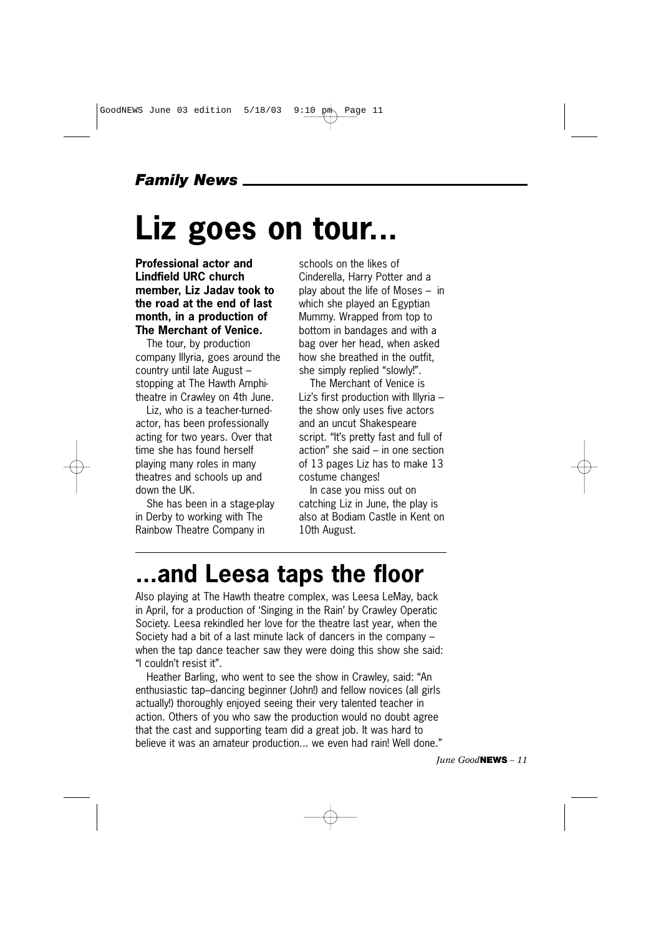### *Family News*

# **Liz goes on tour...**

**Professional actor and Lindfield URC church member, Liz Jadav took to the road at the end of last month, in a production of The Merchant of Venice.** 

The tour, by production company Illyria, goes around the country until late August – stopping at The Hawth Amphitheatre in Crawley on 4th June.

Liz, who is a teacher-turnedactor, has been professionally acting for two years. Over that time she has found herself playing many roles in many theatres and schools up and down the UK.

She has been in a stage-play in Derby to working with The Rainbow Theatre Company in

schools on the likes of Cinderella, Harry Potter and a play about the life of Moses – in which she played an Egyptian Mummy. Wrapped from top to bottom in bandages and with a bag over her head, when asked how she breathed in the outfit, she simply replied "slowly!".

The Merchant of Venice is Liz's first production with Illyria – the show only uses five actors and an uncut Shakespeare script. "It's pretty fast and full of action" she said – in one section of 13 pages Liz has to make 13 costume changes!

In case you miss out on catching Liz in June, the play is also at Bodiam Castle in Kent on 10th August.

# **...and Leesa taps the floor**

Also playing at The Hawth theatre complex, was Leesa LeMay, back in April, for a production of 'Singing in the Rain' by Crawley Operatic Society. Leesa rekindled her love for the theatre last year, when the Society had a bit of a last minute lack of dancers in the company – when the tap dance teacher saw they were doing this show she said: "I couldn't resist it".

Heather Barling, who went to see the show in Crawley, said: "An enthusiastic tap–dancing beginner (John!) and fellow novices (all girls actually!) thoroughly enjoyed seeing their very talented teacher in action. Others of you who saw the production would no doubt agree that the cast and supporting team did a great job. It was hard to believe it was an amateur production... we even had rain! Well done."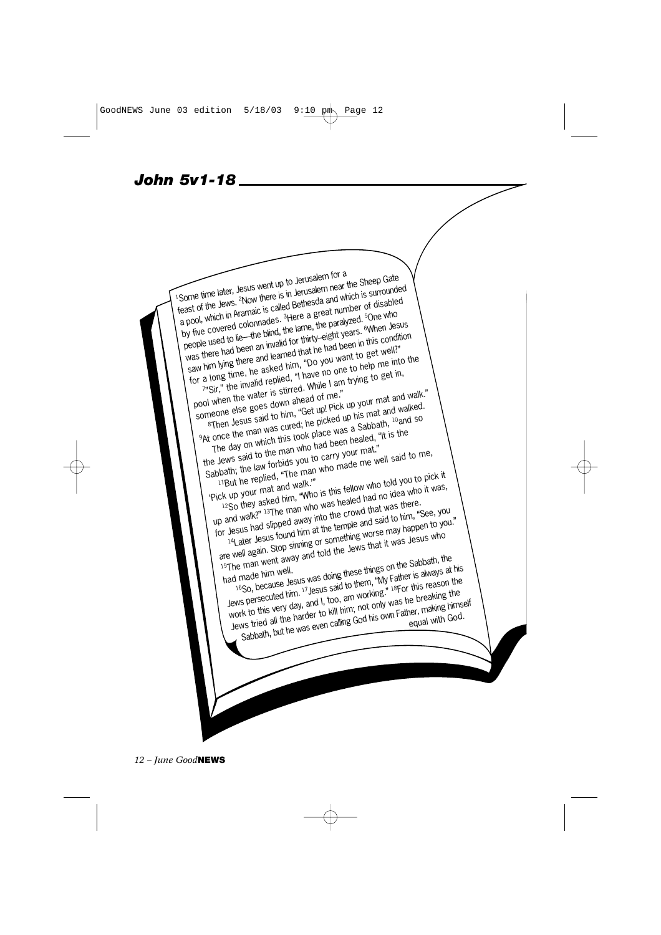*John 5v1-18* 



*12 – June Good***NEWS**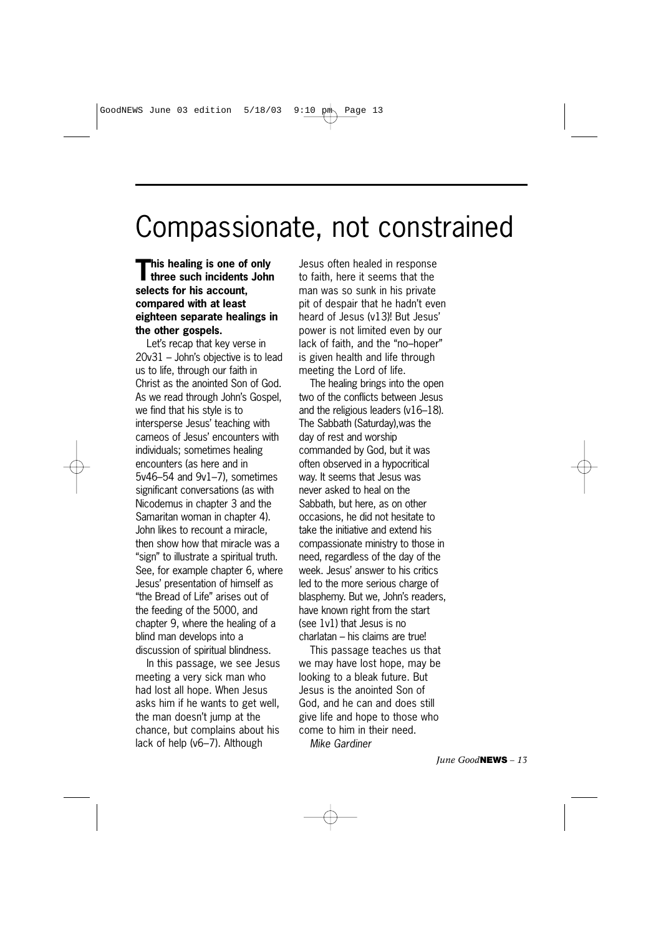# Compassionate, not constrained

**This healing is one of only three such incidents John selects for his account, compared with at least eighteen separate healings in the other gospels.** 

Let's recap that key verse in 20v31 – John's objective is to lead us to life, through our faith in Christ as the anointed Son of God. As we read through John's Gospel, we find that his style is to intersperse Jesus' teaching with cameos of Jesus' encounters with individuals; sometimes healing encounters (as here and in 5v46–54 and 9v1–7), sometimes significant conversations (as with Nicodemus in chapter 3 and the Samaritan woman in chapter 4). John likes to recount a miracle, then show how that miracle was a "sign" to illustrate a spiritual truth. See, for example chapter 6, where Jesus' presentation of himself as "the Bread of Life" arises out of the feeding of the 5000, and chapter 9, where the healing of a blind man develops into a discussion of spiritual blindness.

In this passage, we see Jesus meeting a very sick man who had lost all hope. When Jesus asks him if he wants to get well, the man doesn't jump at the chance, but complains about his lack of help (v6–7). Although

Jesus often healed in response to faith, here it seems that the man was so sunk in his private pit of despair that he hadn't even heard of Jesus (v13)! But Jesus' power is not limited even by our lack of faith, and the "no–hoper" is given health and life through meeting the Lord of life.

The healing brings into the open two of the conflicts between Jesus and the religious leaders (v16–18). The Sabbath (Saturday),was the day of rest and worship commanded by God, but it was often observed in a hypocritical way. It seems that Jesus was never asked to heal on the Sabbath, but here, as on other occasions, he did not hesitate to take the initiative and extend his compassionate ministry to those in need, regardless of the day of the week. Jesus' answer to his critics led to the more serious charge of blasphemy. But we, John's readers, have known right from the start (see 1v1) that Jesus is no charlatan – his claims are true!

This passage teaches us that we may have lost hope, may be looking to a bleak future. But Jesus is the anointed Son of God, and he can and does still give life and hope to those who come to him in their need. *Mike Gardiner*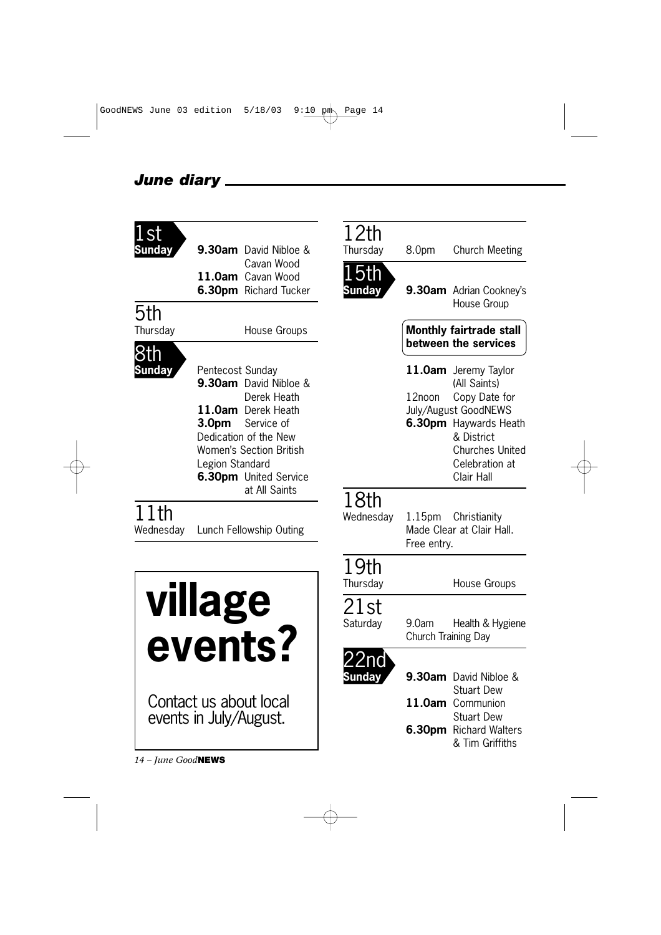#### *June diary*

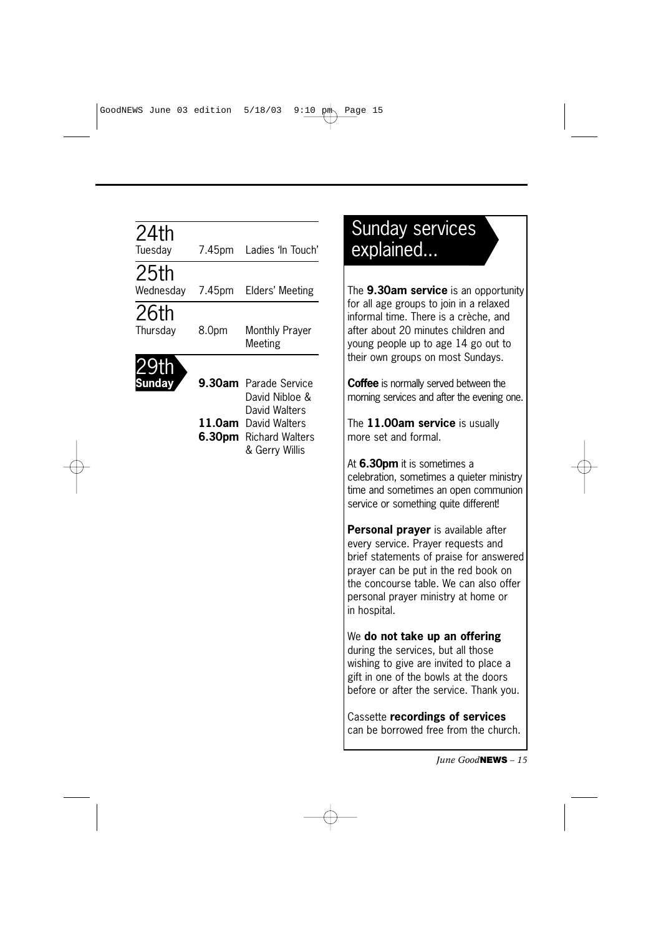| 24th<br>Tuesday   | 7.45pm | Ladies 'In Touch'                                                                        |
|-------------------|--------|------------------------------------------------------------------------------------------|
| 25th<br>Wednesday | 7.45pm | Elders' Meeting                                                                          |
| 26th<br>Thursday  | 8.0pm  | <b>Monthly Prayer</b><br>Meeting                                                         |
| <b>Sunday</b>     |        | 9.30am Parade Service<br>David Nibloe &                                                  |
|                   |        | David Walters<br>11.0am David Walters<br><b>6.30pm</b> Richard Walters<br>& Gerry Willis |
|                   |        |                                                                                          |
|                   |        |                                                                                          |
|                   |        |                                                                                          |
|                   |        |                                                                                          |
|                   |        |                                                                                          |

# Sunday services explained...

The **9.30am service** is an opportunity for all age groups to join in a relaxed informal time. There is a crèche, and after about 20 minutes children and young people up to age 14 go out to their own groups on most Sundays.

**Coffee** is normally served between the morning services and after the evening one.

The **11.00am service** is usually more set and formal.

At **6.30pm** it is sometimes a celebration, sometimes a quieter ministry time and sometimes an open communion service or something quite different!

**Personal prayer** is available after every service. Prayer requests and brief statements of praise for answered prayer can be put in the red book on the concourse table. We can also offer personal prayer ministry at home or in hospital.

#### We **do not take up an offering**

during the services, but all those wishing to give are invited to place a gift in one of the bowls at the doors before or after the service. Thank you.

Cassette **recordings of services** can be borrowed free from the church.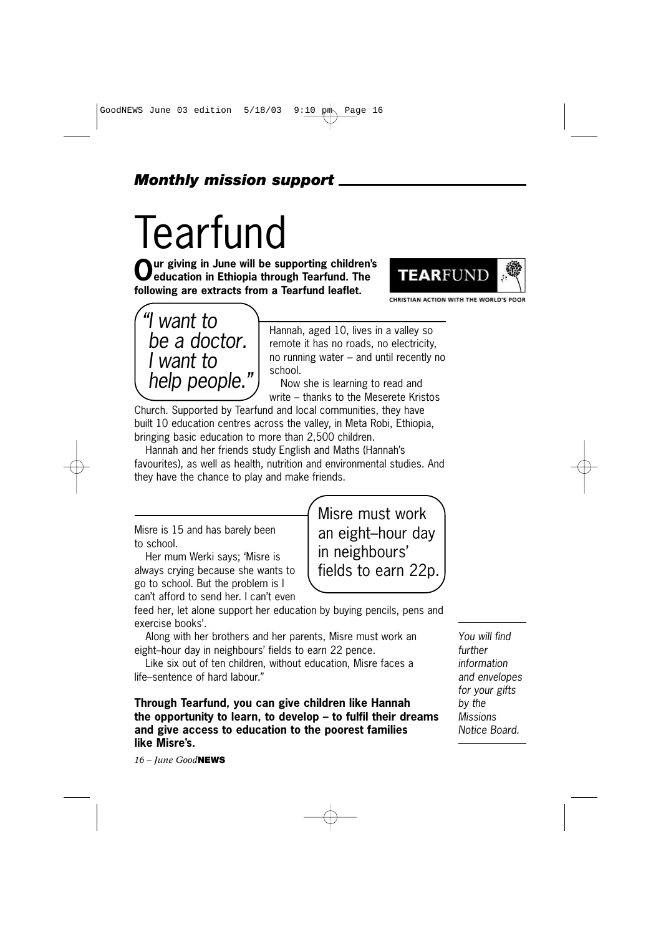### *Monthly mission support*

# **Tearfund**

**Our giving in June will be supporting children's education in Ethiopia through Tearfund. The following are extracts from a Tearfund leaflet.**



CHRISTIAN ACTION WITH THE WORLD'S POOR



Hannah, aged 10, lives in a valley so remote it has no roads, no electricity, no running water – and until recently no school.

Now she is learning to read and write – thanks to the Meserete Kristos

Church. Supported by Tearfund and local communities, they have built 10 education centres across the valley, in Meta Robi, Ethiopia, bringing basic education to more than 2,500 children.

Hannah and her friends study English and Maths (Hannah's favourites), as well as health, nutrition and environmental studies. And they have the chance to play and make friends.

Misre is 15 and has barely been to school.

Her mum Werki says; 'Misre is always crying because she wants to go to school. But the problem is I can't afford to send her. I can't even Misre must work an eight–hour day in neighbours' fields to earn 22p.

feed her, let alone support her education by buying pencils, pens and exercise books'.

Along with her brothers and her parents, Misre must work an eight–hour day in neighbours' fields to earn 22 pence.

Like six out of ten children, without education, Misre faces a life–sentence of hard labour."

**Through Tearfund, you can give children like Hannah the opportunity to learn, to develop – to fulfil their dreams and give access to education to the poorest families like Misre's.** 

*16 – June Good***NEWS**

*You will find further information and envelopes for your gifts by the Missions Notice Board.*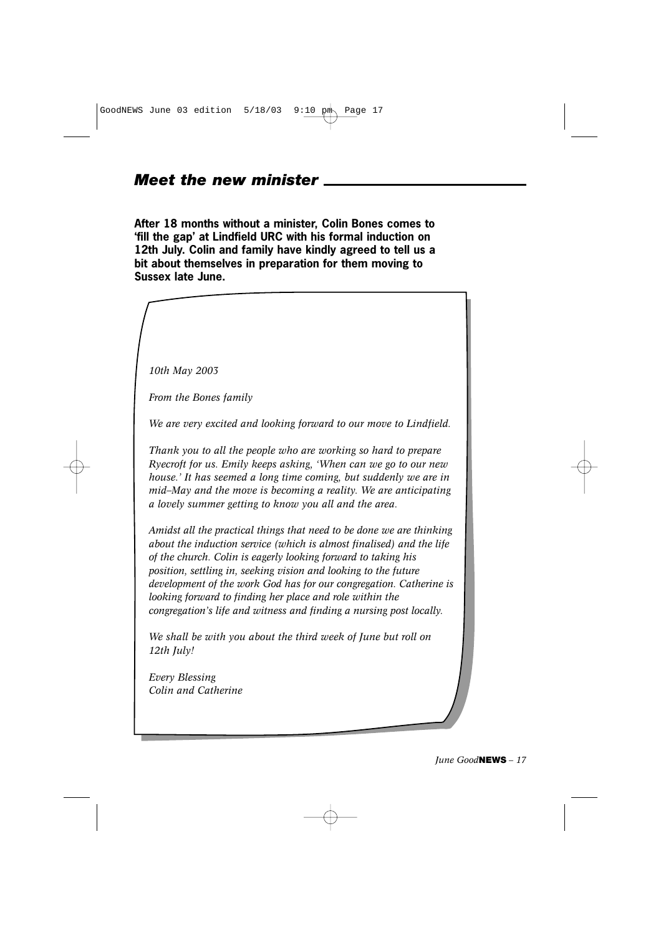GoodNEWS June 03 edition  $5/18/03$  9:10 pm Page 17

#### *Meet the new minister*

**After 18 months without a minister, Colin Bones comes to 'fill the gap' at Lindfield URC with his formal induction on 12th July. Colin and family have kindly agreed to tell us a bit about themselves in preparation for them moving to Sussex late June.** 

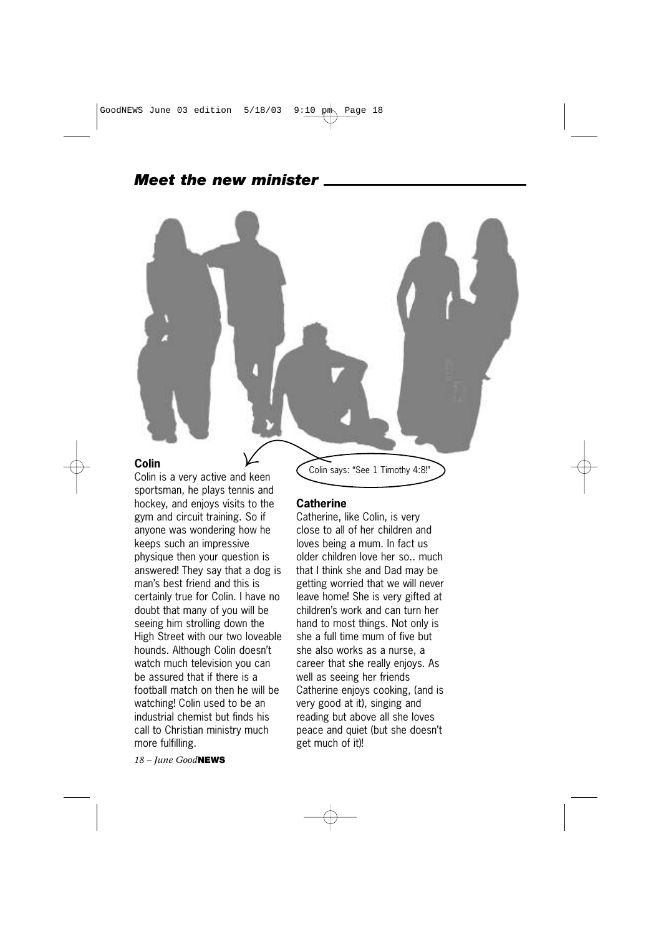## *Meet the new minister*

#### **Colin**

Colin is a very active and keen sportsman, he plays tennis and hockey, and enjoys visits to the gym and circuit training. So if anyone was wondering how he keeps such an impressive physique then your question is answered! They say that a dog is man's best friend and this is certainly true for Colin. I have no doubt that many of you will be seeing him strolling down the High Street with our two loveable hounds. Although Colin doesn't watch much television you can be assured that if there is a football match on then he will be watching! Colin used to be an industrial chemist but finds his call to Christian ministry much more fulfilling.

*18 – June Good***NEWS**

Colin says: "See 1 Timothy 4:8!"

#### **Catherine**

Catherine, like Colin, is very close to all of her children and loves being a mum. In fact us older children love her so.. much that I think she and Dad may be getting worried that we will never leave home! She is very gifted at children's work and can turn her hand to most things. Not only is she a full time mum of five but she also works as a nurse, a career that she really enjoys. As well as seeing her friends Catherine enjoys cooking, (and is very good at it), singing and reading but above all she loves peace and quiet (but she doesn't get much of it)!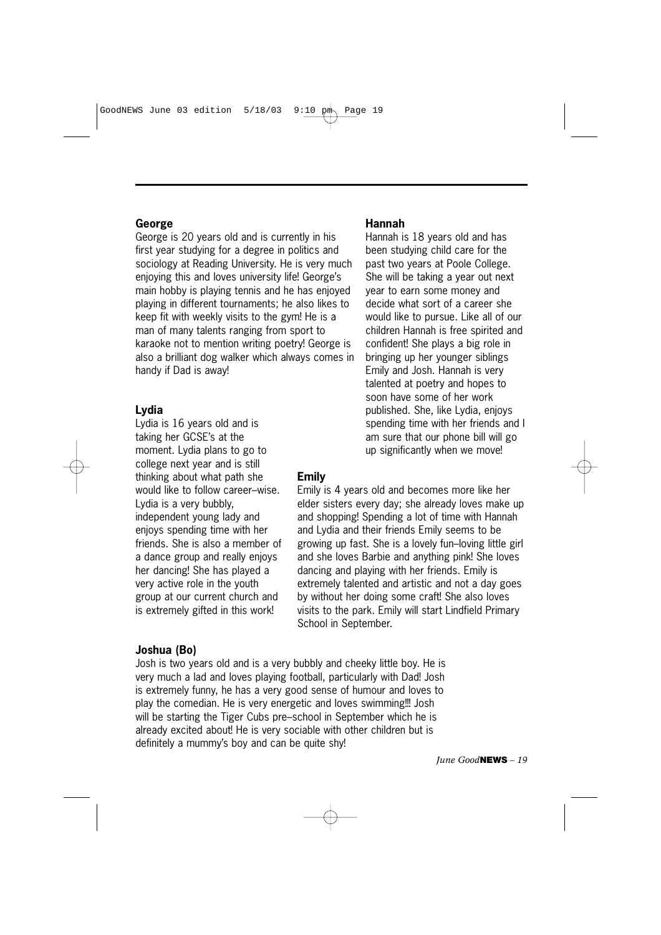#### **George**

George is 20 years old and is currently in his first year studying for a degree in politics and sociology at Reading University. He is very much enjoying this and loves university life! George's main hobby is playing tennis and he has enjoyed playing in different tournaments; he also likes to keep fit with weekly visits to the gym! He is a man of many talents ranging from sport to karaoke not to mention writing poetry! George is also a brilliant dog walker which always comes in handy if Dad is away!

#### **Lydia**

Lydia is 16 years old and is taking her GCSE's at the moment. Lydia plans to go to college next year and is still thinking about what path she would like to follow career–wise. Lydia is a very bubbly, independent young lady and enjoys spending time with her friends. She is also a member of a dance group and really enjoys her dancing! She has played a very active role in the youth group at our current church and is extremely gifted in this work!

#### **Joshua (Bo)**

Josh is two years old and is a very bubbly and cheeky little boy. He is very much a lad and loves playing football, particularly with Dad! Josh is extremely funny, he has a very good sense of humour and loves to play the comedian. He is very energetic and loves swimming!!! Josh will be starting the Tiger Cubs pre–school in September which he is already excited about! He is very sociable with other children but is definitely a mummy's boy and can be quite shy!

#### **Hannah**

Hannah is 18 years old and has been studying child care for the past two years at Poole College. She will be taking a year out next year to earn some money and decide what sort of a career she would like to pursue. Like all of our children Hannah is free spirited and confident! She plays a big role in bringing up her younger siblings Emily and Josh. Hannah is very talented at poetry and hopes to soon have some of her work published. She, like Lydia, enjoys spending time with her friends and I am sure that our phone bill will go up significantly when we move!

#### **Emily**

Emily is 4 years old and becomes more like her elder sisters every day; she already loves make up and shopping! Spending a lot of time with Hannah and Lydia and their friends Emily seems to be growing up fast. She is a lovely fun–loving little girl and she loves Barbie and anything pink! She loves dancing and playing with her friends. Emily is extremely talented and artistic and not a day goes by without her doing some craft! She also loves visits to the park. Emily will start Lindfield Primary School in September.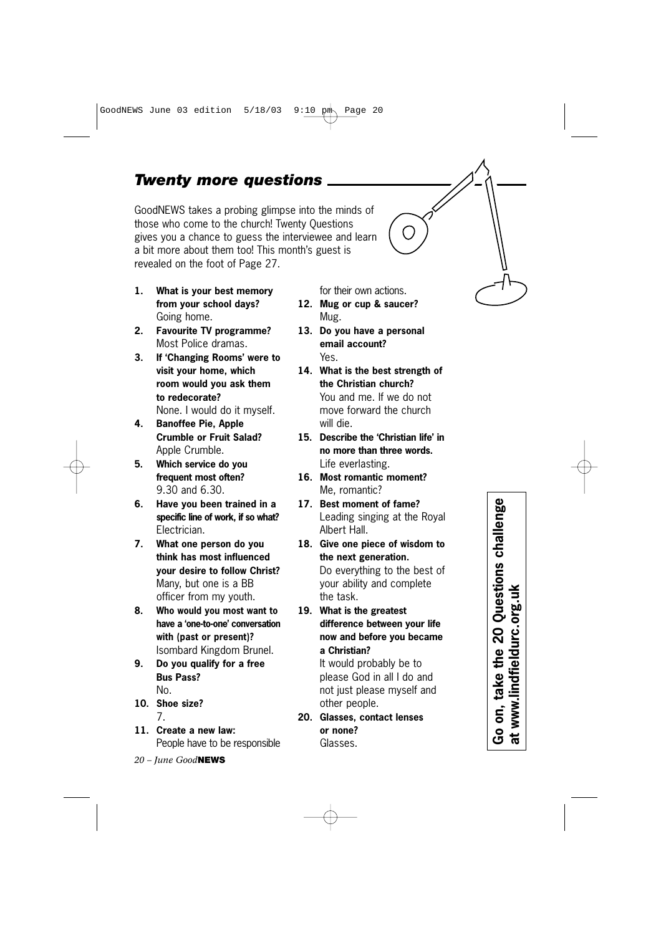#### *Twenty more questions*

GoodNEWS takes a probing glimpse into the minds of those who come to the church! Twenty Questions gives you a chance to guess the interviewee and learn a bit more about them too! This month's guest is revealed on the foot of Page 27.

- **1. What is your best memory from your school days?** Going home.
- **2. Favourite TV programme?** Most Police dramas.
- **3. If 'Changing Rooms' were to visit your home, which room would you ask them to redecorate?** None. I would do it myself.
- **4. Banoffee Pie, Apple Crumble or Fruit Salad?** Apple Crumble.
- **5. Which service do you frequent most often?** 9.30 and 6.30.
- **6. Have you been trained in a specific line of work, if so what?** Electrician.
- **7. What one person do you think has most influenced your desire to follow Christ?** Many, but one is a BB officer from my youth.
- **8. Who would you most want to have a 'one-to-one' conversation with (past or present)?** Isombard Kingdom Brunel.
- **9. Do you qualify for a free Bus Pass?** No.
- **10. Shoe size?** 7.
- **11. Create a new law:** People have to be responsible
- *20 June Good***NEWS**
- for their own actions. **12. Mug or cup & saucer?** Mug.
- **13. Do you have a personal email account?** Yes.
- **14. What is the best strength of the Christian church?** You and me. If we do not move forward the church will die.
- **15. Describe the 'Christian life' in no more than three words.** Life everlasting.
- **16. Most romantic moment?** Me, romantic?
- **17. Best moment of fame?** Leading singing at the Royal Albert Hall.
- **18. Give one piece of wisdom to the next generation.** Do everything to the best of your ability and complete the task.
- **19. What is the greatest difference between your life now and before you became a Christian?**

It would probably be to please God in all I do and not just please myself and other people.

**20. Glasses, contact lenses or none?** Glasses.

Go on, take the 20 Questions challenge<br>at www.lindfieldurc.org.uk **Go on, take the 20 Questions challenge at www.lindfieldurc.org.uk**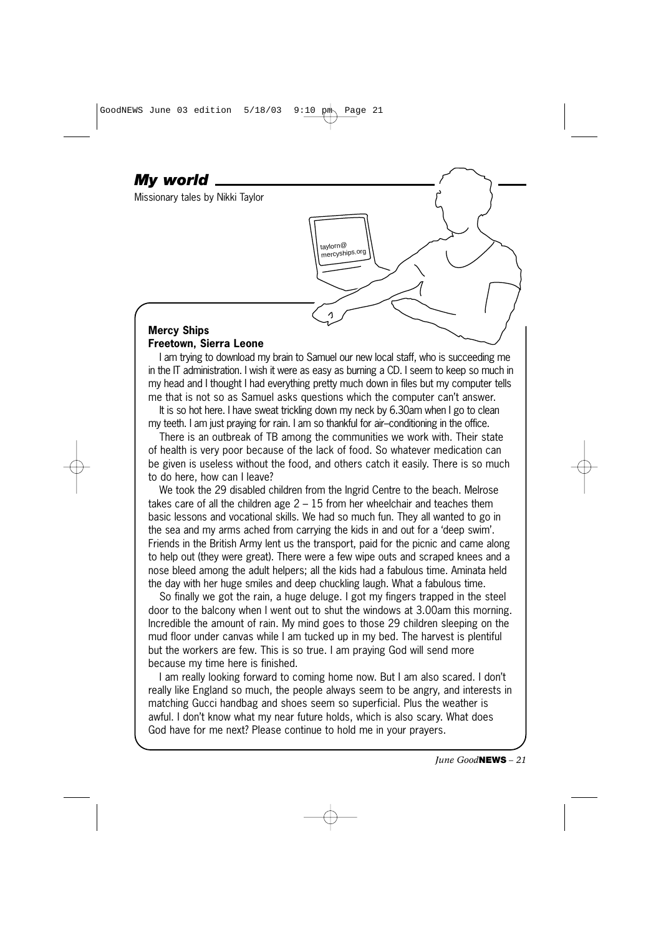#### **Mercy Ships Freetown, Sierra Leone**

*My world*

Missionary tales by Nikki Taylor

I am trying to download my brain to Samuel our new local staff, who is succeeding me in the IT administration. I wish it were as easy as burning a CD. I seem to keep so much in my head and I thought I had everything pretty much down in files but my computer tells me that is not so as Samuel asks questions which the computer can't answer.

taylorn@ mercyships.org

It is so hot here. I have sweat trickling down my neck by 6.30am when I go to clean my teeth. I am just praying for rain. I am so thankful for air–conditioning in the office.

There is an outbreak of TB among the communities we work with. Their state of health is very poor because of the lack of food. So whatever medication can be given is useless without the food, and others catch it easily. There is so much to do here, how can I leave?

We took the 29 disabled children from the Ingrid Centre to the beach. Melrose takes care of all the children age  $2 - 15$  from her wheelchair and teaches them basic lessons and vocational skills. We had so much fun. They all wanted to go in the sea and my arms ached from carrying the kids in and out for a 'deep swim'. Friends in the British Army lent us the transport, paid for the picnic and came along to help out (they were great). There were a few wipe outs and scraped knees and a nose bleed among the adult helpers; all the kids had a fabulous time. Aminata held the day with her huge smiles and deep chuckling laugh. What a fabulous time.

So finally we got the rain, a huge deluge. I got my fingers trapped in the steel door to the balcony when I went out to shut the windows at 3.00am this morning. Incredible the amount of rain. My mind goes to those 29 children sleeping on the mud floor under canvas while I am tucked up in my bed. The harvest is plentiful but the workers are few. This is so true. I am praying God will send more because my time here is finished.

I am really looking forward to coming home now. But I am also scared. I don't really like England so much, the people always seem to be angry, and interests in matching Gucci handbag and shoes seem so superficial. Plus the weather is awful. I don't know what my near future holds, which is also scary. What does God have for me next? Please continue to hold me in your prayers.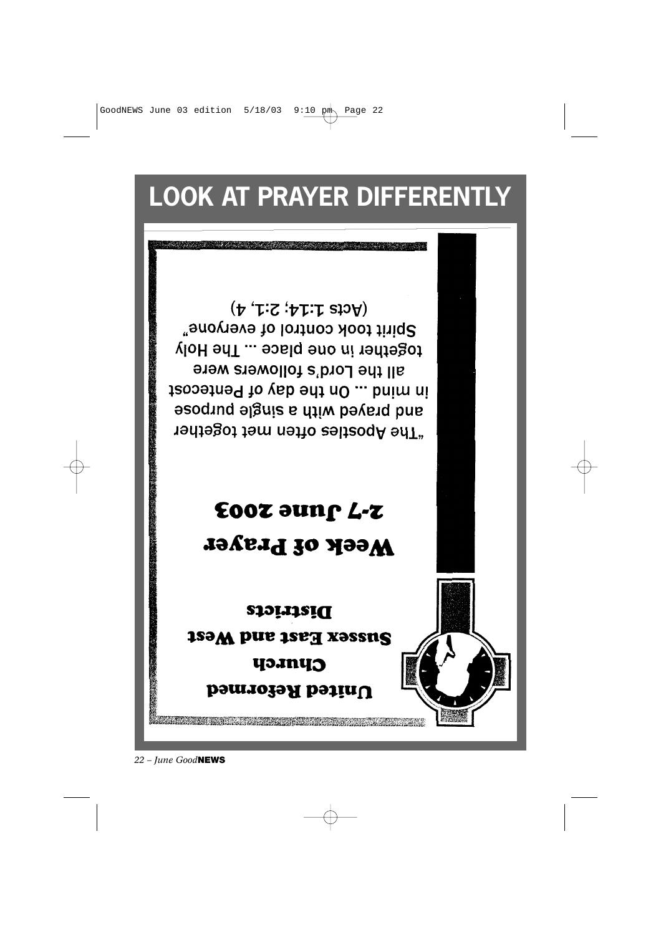*22 – June Good***NEWS**



GoodNEWS June 03 edition  $5/18/03$  9:10 pm Page 22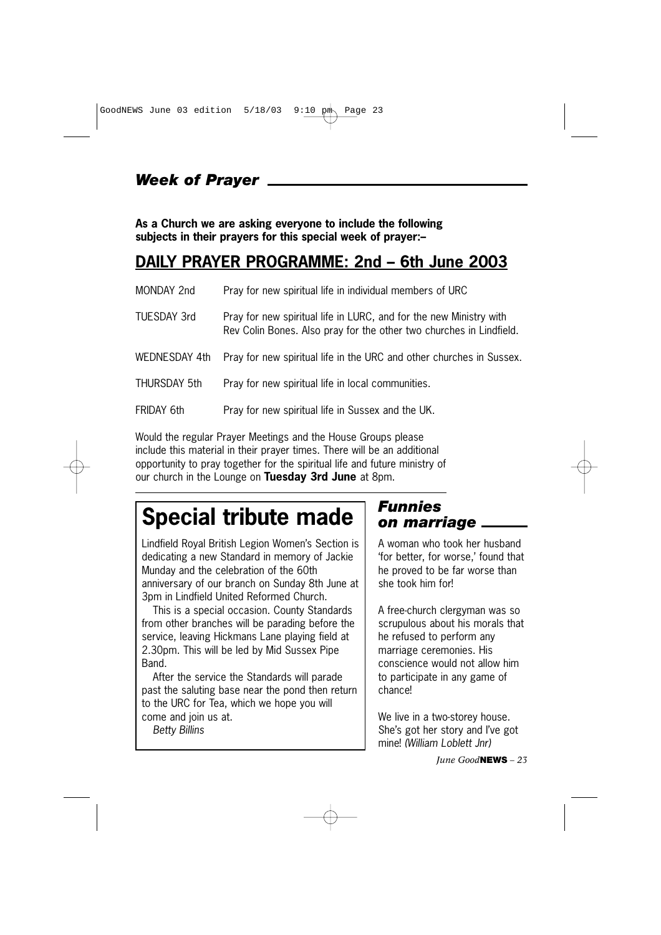## *Week of Prayer*

**As a Church we are asking everyone to include the following subjects in their prayers for this special week of prayer:–**

## **DAILY PRAYER PROGRAMME: 2nd – 6th June 2003**

| MONDAY 2nd         | Pray for new spiritual life in individual members of URC                                                                                  |
|--------------------|-------------------------------------------------------------------------------------------------------------------------------------------|
| <b>TUESDAY 3rd</b> | Pray for new spiritual life in LURC, and for the new Ministry with<br>Rev Colin Bones. Also pray for the other two churches in Lindfield. |
| WEDNESDAY 4th      | Pray for new spiritual life in the URC and other churches in Sussex.                                                                      |
| THURSDAY 5th       | Pray for new spiritual life in local communities.                                                                                         |
| FRIDAY 6th         | Pray for new spiritual life in Sussex and the UK.                                                                                         |

Would the regular Prayer Meetings and the House Groups please include this material in their prayer times. There will be an additional opportunity to pray together for the spiritual life and future ministry of our church in the Lounge on **Tuesday 3rd June** at 8pm.

# **Special tribute made**

Lindfield Royal British Legion Women's Section is dedicating a new Standard in memory of Jackie Munday and the celebration of the 60th anniversary of our branch on Sunday 8th June at 3pm in Lindfield United Reformed Church.

This is a special occasion. County Standards from other branches will be parading before the service, leaving Hickmans Lane playing field at 2.30pm. This will be led by Mid Sussex Pipe Band.

After the service the Standards will parade past the saluting base near the pond then return to the URC for Tea, which we hope you will come and join us at.

*Betty Billins*

#### *Funnies on marriage*

A woman who took her husband 'for better, for worse,' found that he proved to be far worse than she took him for!

A free-church clergyman was so scrupulous about his morals that he refused to perform any marriage ceremonies. His conscience would not allow him to participate in any game of chance!

We live in a two-storey house. She's got her story and I've got mine! *(William Loblett Jnr)*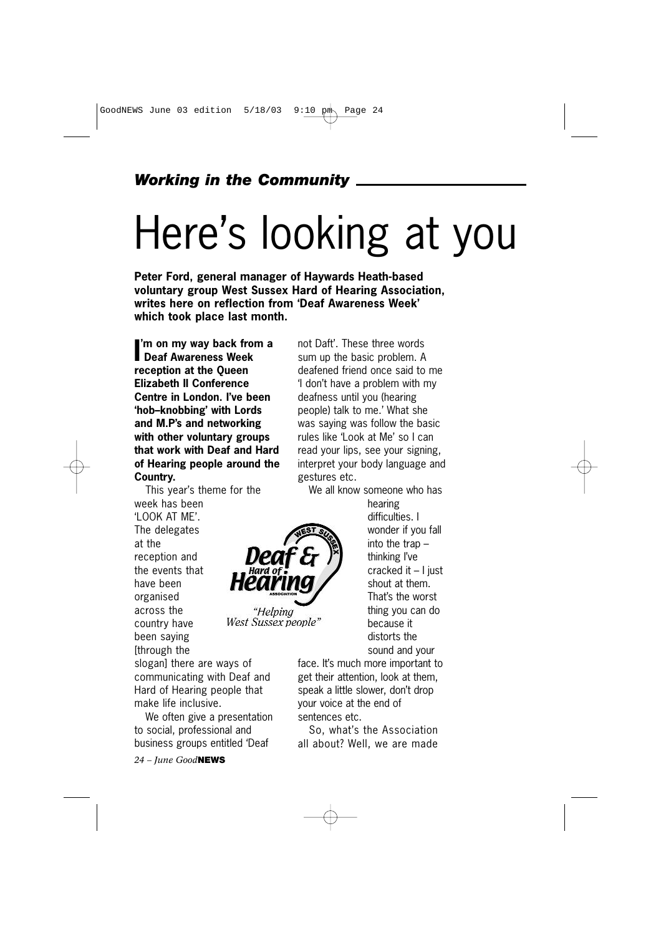#### *Working in the Community*

# Here's looking at you

**Peter Ford, general manager of Haywards Heath-based voluntary group West Sussex Hard of Hearing Association, writes here on reflection from 'Deaf Awareness Week' which took place last month.**

"Helping

**I 'm on my way back from a Deaf Awareness Week reception at the Queen Elizabeth II Conference Centre in London. I've been 'hob–knobbing' with Lords and M.P's and networking with other voluntary groups that work with Deaf and Hard of Hearing people around the Country.**

This year's theme for the week has been 'LOOK AT ME'. The delegates at the reception and the events that have been organised across the West Sussex people" country have been saying [through the

slogan] there are ways of communicating with Deaf and Hard of Hearing people that make life inclusive.

We often give a presentation to social, professional and business groups entitled 'Deaf

*24 – June Good***NEWS**

not Daft'. These three words sum up the basic problem. A deafened friend once said to me 'I don't have a problem with my deafness until you (hearing people) talk to me.' What she was saying was follow the basic rules like 'Look at Me' so I can read your lips, see your signing, interpret your body language and gestures etc.

We all know someone who has

hearing difficulties. I wonder if you fall into the trap – thinking I've cracked it – I just shout at them. That's the worst thing you can do because it distorts the sound and your

face. It's much more important to get their attention, look at them, speak a little slower, don't drop your voice at the end of sentences etc.

So, what's the Association all about? Well, we are made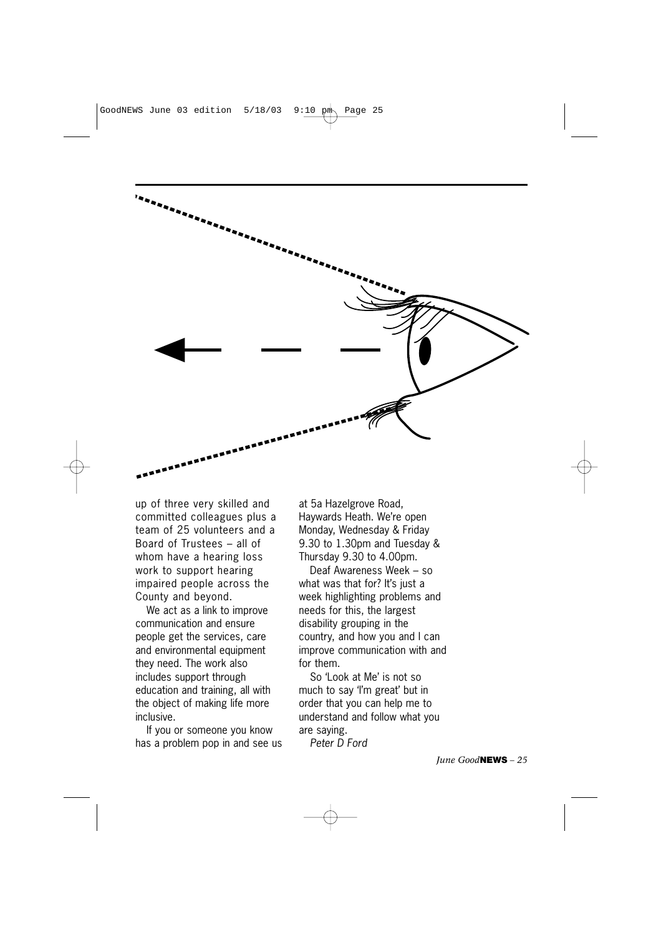

up of three very skilled and committed colleagues plus a team of 25 volunteers and a Board of Trustees – all of whom have a hearing loss work to support hearing impaired people across the County and beyond.

We act as a link to improve communication and ensure people get the services, care and environmental equipment they need. The work also includes support through education and training, all with the object of making life more inclusive.

If you or someone you know has a problem pop in and see us

at 5a Hazelgrove Road, Haywards Heath. We're open Monday, Wednesday & Friday 9.30 to 1.30pm and Tuesday & Thursday 9.30 to 4.00pm.

Deaf Awareness Week – so what was that for? It's just a week highlighting problems and needs for this, the largest disability grouping in the country, and how you and I can improve communication with and for them.

So 'Look at Me' is not so much to say 'I'm great' but in order that you can help me to understand and follow what you are saying.

*Peter D Ford*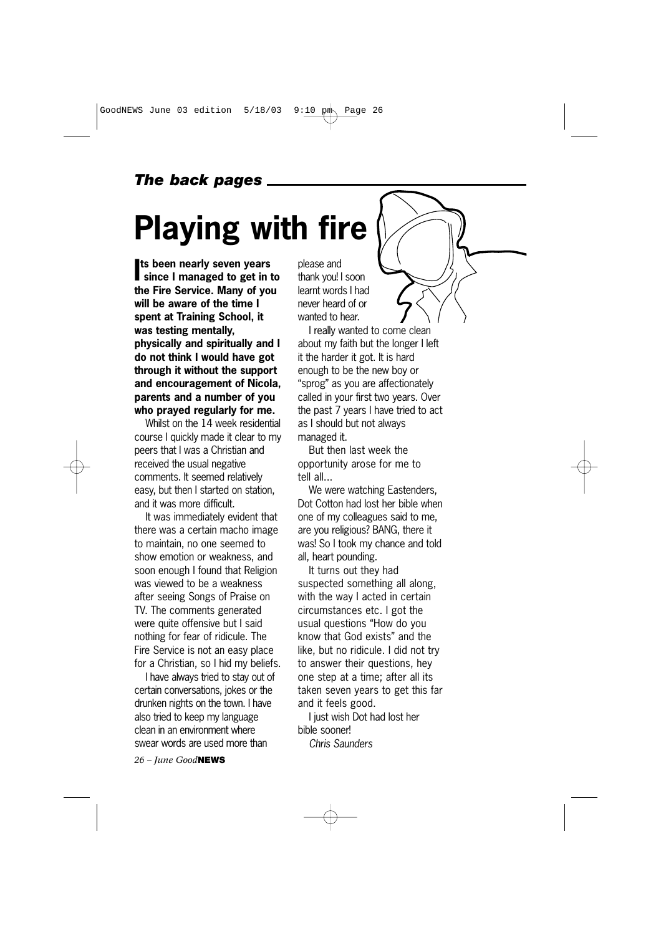## *The back pages*

# **Playing with fire**

**I since I managed to get in to ts been nearly seven years the Fire Service. Many of you will be aware of the time I spent at Training School, it was testing mentally, physically and spiritually and I do not think I would have got through it without the support and encouragement of Nicola, parents and a number of you who prayed regularly for me.** 

Whilst on the 14 week residential course I quickly made it clear to my peers that I was a Christian and received the usual negative comments. It seemed relatively easy, but then I started on station, and it was more difficult.

It was immediately evident that there was a certain macho image to maintain, no one seemed to show emotion or weakness, and soon enough I found that Religion was viewed to be a weakness after seeing Songs of Praise on TV. The comments generated were quite offensive but I said nothing for fear of ridicule. The Fire Service is not an easy place for a Christian, so I hid my beliefs.

I have always tried to stay out of certain conversations, jokes or the drunken nights on the town. I have also tried to keep my language clean in an environment where swear words are used more than

*26 – June Good***NEWS**

please and thank you! I soon learnt words I had never heard of or wanted to hear.

I really wanted to come clean about my faith but the longer I left it the harder it got. It is hard enough to be the new boy or "sprog" as you are affectionately called in your first two years. Over the past 7 years I have tried to act as I should but not always managed it.

But then last week the opportunity arose for me to tell all...

We were watching Eastenders, Dot Cotton had lost her bible when one of my colleagues said to me, are you religious? BANG, there it was! So I took my chance and told all, heart pounding.

It turns out they had suspected something all along, with the way I acted in certain circumstances etc. I got the usual questions "How do you know that God exists" and the like, but no ridicule. I did not try to answer their questions, hey one step at a time; after all its taken seven years to get this far and it feels good.

I just wish Dot had lost her bible sooner!

*Chris Saunders*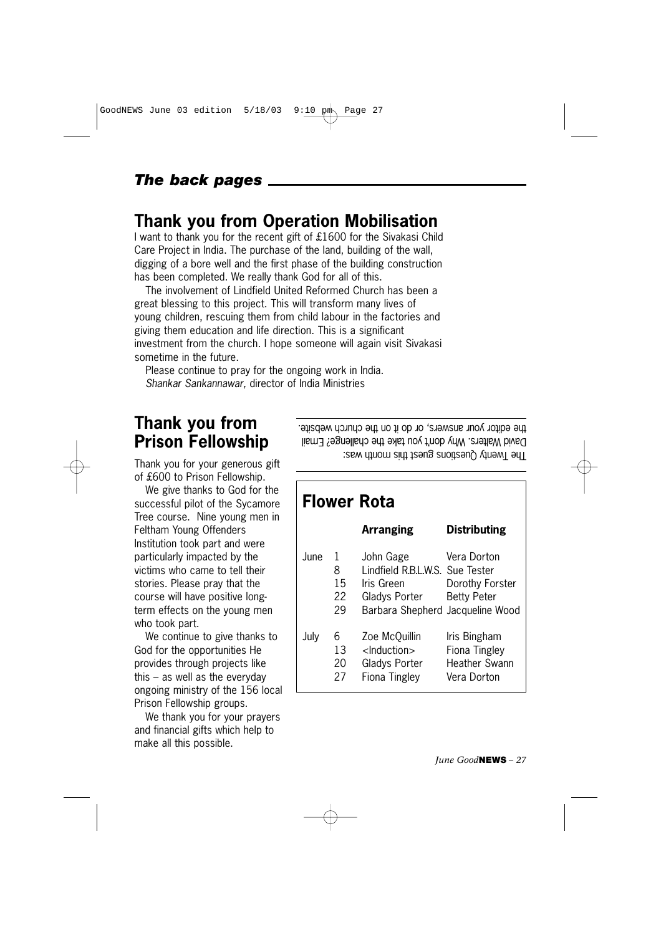#### *The back pages*

### **Thank you from Operation Mobilisation**

I want to thank you for the recent gift of £1600 for the Sivakasi Child Care Project in India. The purchase of the land, building of the wall, digging of a bore well and the first phase of the building construction has been completed. We really thank God for all of this.

The involvement of Lindfield United Reformed Church has been a great blessing to this project. This will transform many lives of young children, rescuing them from child labour in the factories and giving them education and life direction. This is a significant investment from the church. I hope someone will again visit Sivakasi sometime in the future.

Please continue to pray for the ongoing work in India. *Shankar Sankannawar,* director of India Ministries

# **Thank you from Prison Fellowship**

Thank you for your generous gift of £600 to Prison Fellowship.

We give thanks to God for the successful pilot of the Sycamore Tree course. Nine young men in Feltham Young Offenders Institution took part and were particularly impacted by the victims who came to tell their stories. Please pray that the course will have positive longterm effects on the young men who took part.

We continue to give thanks to God for the opportunities He provides through projects like this – as well as the everyday ongoing ministry of the 156 local Prison Fellowship groups.

We thank you for your prayers and financial gifts which help to make all this possible.

The Twenty Questions guest this month was: David Walters. Why don't you take the challenge? Email the editor your answers, or do it on the church website.

## **Flower Rota Arranging Distributing** June 1 John Gage Vera Dorton 8 Lindfield R.B.L.W.S. Sue Tester 15 Iris Green Dorothy Forster 22 Gladys Porter Betty Peter 29 Barbara Shepherd Jacqueline Wood July 6 Zoe McQuillin Iris Bingham 13 <Induction> Fiona Tingley 20 Gladys Porter Heather Swann 27 Fiona Tingley Vera Dorton